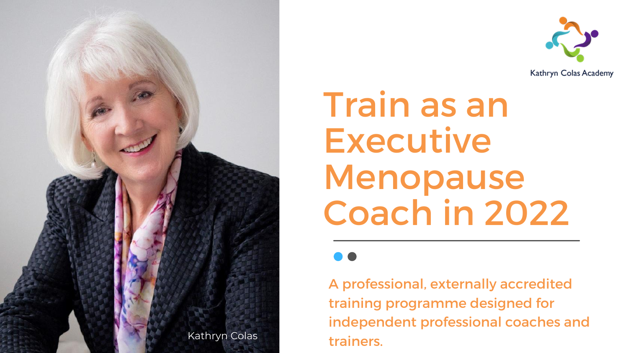# Train as an Executive Menopause Coach in 2022

A professional, externally accredited training programme designed for independent professional coaches and



Kathryn Colas Academy

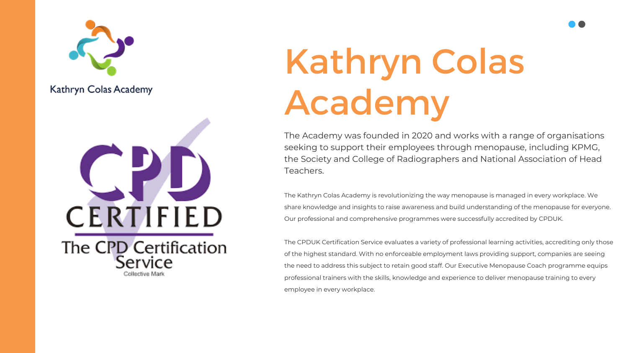

### Kathryn Colas Academy



The Academy was founded in 2020 and works with a range of organisations seeking to support their employees through menopause, including KPMG, the Society and College of Radiographers and National Association of Head Teachers.

The Kathryn Colas Academy is revolutionizing the way menopause is managed in every workplace. We share knowledge and insights to raise awareness and build understanding of the menopause for everyone. Our professional and comprehensive programmes were successfully accredited by CPDUK.

The CPDUK Certification Service evaluates a variety of professional learning activities, accrediting only those of the highest standard. With no enforceable employment laws providing support, companies are seeing the need to address this subject to retain good staff. Our Executive Menopause Coach programme equips professional trainers with the skills, knowledge and experience to deliver menopause training to every employee in every workplace.



# Kathryn Colas Academy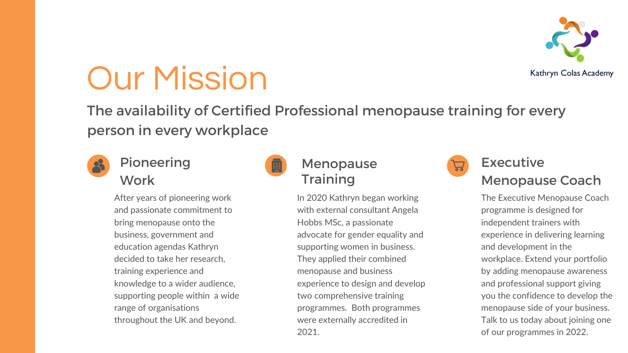# Our Mission

The availability of Certified Professional menopause training for every person in every workplace



## Pioneering **Work**

After years of pioneering work and passionate commitment to bring menopause onto the business, government and education agendas Kathryn decided to take her research, training experience and knowledge to a wider audience, supporting people within a wide range of organisations throughout the UK and beyond.



## Menopause **Training**

In 2020 Kathryn began working with external consultant Angela Hobbs MSc, a passionate advocate for gender equality and supporting women in business. They applied their combined menopause and business experience to design and develop two comprehensive training programmes. Both programmes were externally accredited in 2021.



Kathryn Colas Academy



The Executive Menopause Coach programme is designed for independent trainers with experience in delivering learning and development in the workplace. Extend your portfolio by adding menopause awareness and professional support giving you the confidence to develop the menopause side of your business. Talk to us today about joining one of our programmes in 2022.

## Executive Menopause Coach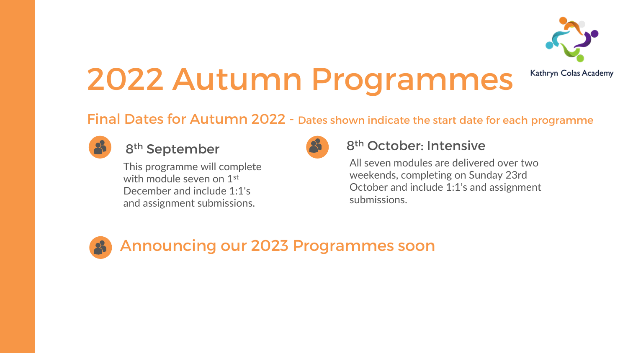# 2022 Autumn Programmes

## Final Dates for Autumn 2022 - Dates shown indicate the start date for each programme



## 8<sup>th</sup> September 8<sup>8</sup> 8<sup>th</sup> October: Intensive





Kathryn Colas Academy

All seven modules are delivered over two weekends, completing on Sunday 23rd October and include 1:1's and assignment submissions.

This programme will complete with module seven on 1<sup>st</sup> December and include 1:1's and assignment submissions.

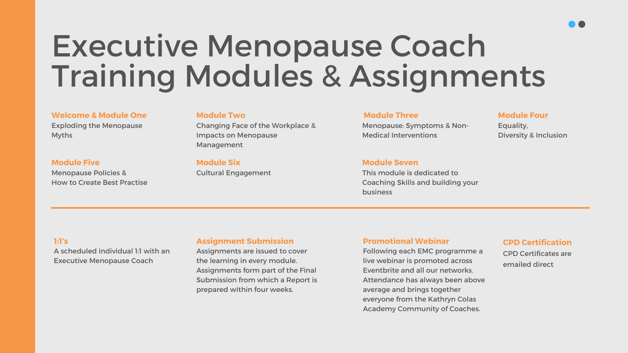# Executive Menopause Coach Training Modules & Assignments

#### Welcome & Module One

Exploding the Menopause Myths

#### Module Two

Changing Face of the Workplace & Impacts on Menopause Management

### Module Three

Menopause: Symptoms & Non-Medical Interventions

#### Module Four

Equality, Diversity & Inclusion

### Module Five Menopause Policies &

How to Create Best Practise

### Module Six

Cultural Engagement

#### Module Seven

This module is dedicated to Coaching Skills and building your

business

#### 1:1's

A scheduled individual 1:1 with an Executive Menopause Coach

#### Assignment Submission

Assignments are issued to cover the learning in every module. Assignments form part of the Final Submission from which a Report is prepared within four weeks.

#### Promotional Webinar

Following each EMC programme a live webinar is promoted across Eventbrite and all our networks. Attendance has always been above average and brings together everyone from the Kathryn Colas Academy Community of Coaches.



#### CPD Certification

CPD Certificates are emailed direct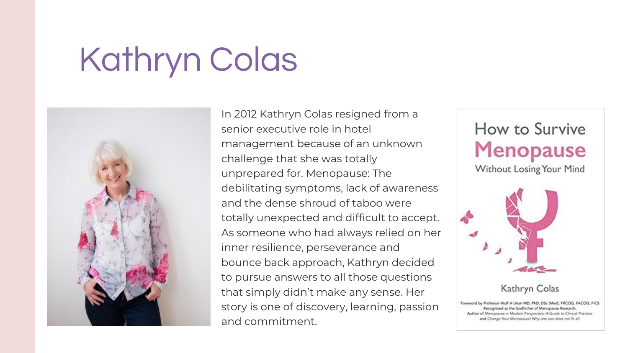# Kathryn Colas



In 2012 Kathryn Colas resigned from a senior executive role in hotel management because of an unknown challenge that she was totally unprepared for. Menopause: The debilitating symptoms, lack of awareness and the dense shroud of taboo were totally unexpected and difficult to accept. As someone who had always relied on her inner resilience, perseverance and bounce back approach, Kathryn decided to pursue answers to all those questions that simply didn't make any sense. Her story is one of discovery, learning, passion and commitment.

# How to Survive **Menopause**

Without Losing Your Mind



### Kathryn Colas

Foreword by Professor Wulf H Utian MD, PhD, DSc (Med), FRCOG, FACOG, FICS Recognised as the Godfather of Menopause Research. Author of Menopause in Modern Perspective: A Guide to Clinical Practice, and Change Your Menopause! Why one size does not fit all.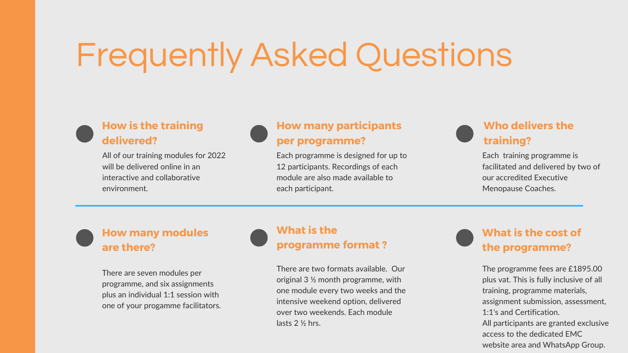# Frequently Asked Questions

### How is the training delivered?

All of our training modules for 2022 will be delivered online in an interactive and collaborative environment.



Each programme is designed for up to 12 participants. Recordings of each module are also made available to each participant.

Each training programme is facilitated and delivered by two of our accredited Executive Menopause Coaches.

### How many modules are there?

There are seven modules per programme, and six assignments plus an individual 1:1 session with one of your progamme facilitators. There are two formats available. Our original 3 ½ month programme, with one module every two weeks and the intensive weekend option, delivered over two weekends. Each module lasts 2 ½ hrs.

## What is the cost of the programme?

The programme fees are £1895.00 plus vat. This is fully inclusive of all training, programme materials, assignment submission, assessment, 1:1's and Certification. All participants are granted exclusive access to the dedicated EMC website area and WhatsApp Group.

### How many participants per programme?

## Who delivers the training?

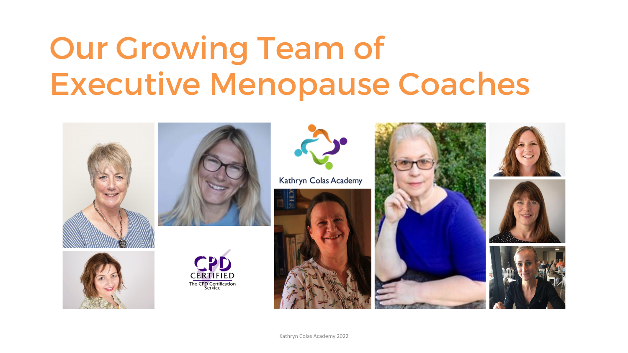# Our Growing Team of Executive Menopause Coaches











Kathryn Colas Academy